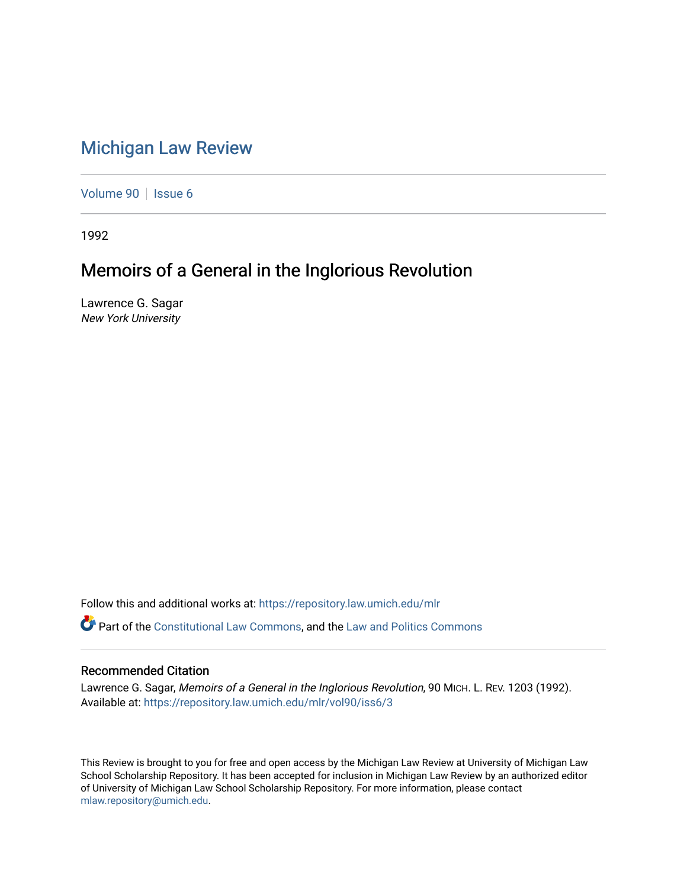## [Michigan Law Review](https://repository.law.umich.edu/mlr)

[Volume 90](https://repository.law.umich.edu/mlr/vol90) | [Issue 6](https://repository.law.umich.edu/mlr/vol90/iss6)

1992

## Memoirs of a General in the Inglorious Revolution

Lawrence G. Sagar New York University

Follow this and additional works at: [https://repository.law.umich.edu/mlr](https://repository.law.umich.edu/mlr?utm_source=repository.law.umich.edu%2Fmlr%2Fvol90%2Fiss6%2F3&utm_medium=PDF&utm_campaign=PDFCoverPages) 

**P** Part of the [Constitutional Law Commons,](http://network.bepress.com/hgg/discipline/589?utm_source=repository.law.umich.edu%2Fmlr%2Fvol90%2Fiss6%2F3&utm_medium=PDF&utm_campaign=PDFCoverPages) and the [Law and Politics Commons](http://network.bepress.com/hgg/discipline/867?utm_source=repository.law.umich.edu%2Fmlr%2Fvol90%2Fiss6%2F3&utm_medium=PDF&utm_campaign=PDFCoverPages)

## Recommended Citation

Lawrence G. Sagar, Memoirs of a General in the Inglorious Revolution, 90 MICH. L. REV. 1203 (1992). Available at: [https://repository.law.umich.edu/mlr/vol90/iss6/3](https://repository.law.umich.edu/mlr/vol90/iss6/3?utm_source=repository.law.umich.edu%2Fmlr%2Fvol90%2Fiss6%2F3&utm_medium=PDF&utm_campaign=PDFCoverPages)

This Review is brought to you for free and open access by the Michigan Law Review at University of Michigan Law School Scholarship Repository. It has been accepted for inclusion in Michigan Law Review by an authorized editor of University of Michigan Law School Scholarship Repository. For more information, please contact [mlaw.repository@umich.edu.](mailto:mlaw.repository@umich.edu)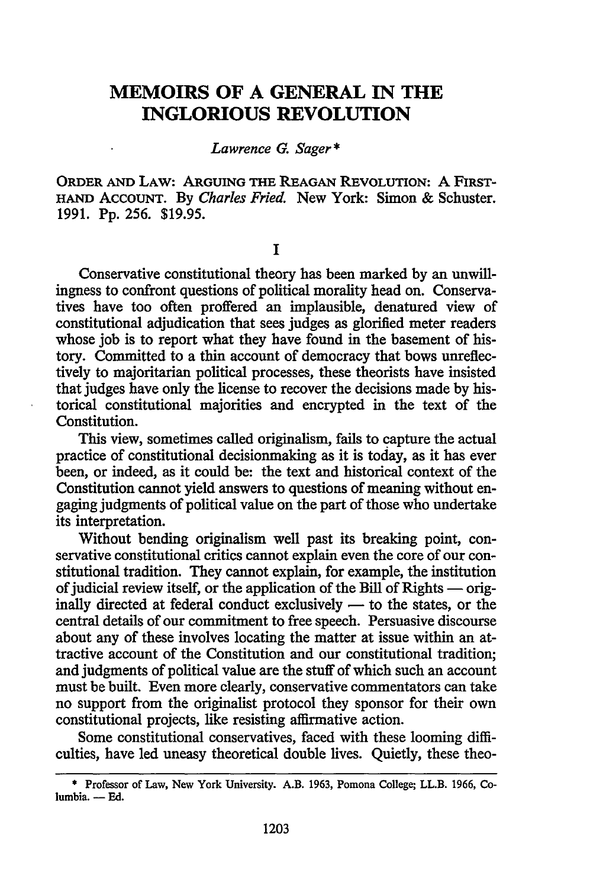## **MEMOIRS OF A GENERAL IN THE INGLORIOUS REVOLUTION**

*Lawrence G. Sager\** 

ORDER AND LAW: ARGUING THE REAGAN REVOLUTION: A FIRST-HAND ACCOUNT. By *Charles Fried.* New York: Simon & Schuster. 1991. Pp. 256. \$19.95.

I

Conservative constitutional theory has been marked by an unwillingness to confront questions of political morality head on. Conservatives have too often proffered an implausible, denatured view of constitutional adjudication that sees judges as glorified meter readers whose job is to report what they have found in the basement of history. Committed to a thin account of democracy that bows unreflectively to majoritarian political processes, these theorists have insisted that judges have only the license to recover the decisions made by historical constitutional majorities and encrypted in the text of the Constitution.

This view, sometimes called originalism, fails to capture the actual practice of constitutional decisionmaking as it is today, as it has ever been, or indeed, as it could be: the text and historical context of the Constitution cannot yield answers to questions of meaning without engaging judgments of political value on the part of those who undertake its interpretation.

Without bending originalism well past its breaking point, conservative constitutional critics cannot explain even the core of our constitutional tradition. They cannot explain, for example, the institution of judicial review itself, or the application of the Bill of Rights  $-$  originally directed at federal conduct exclusively — to the states, or the central details of our commitment to free speech. Persuasive discourse about any of these involves locating the matter at issue within an attractive account of the Constitution and our constitutional tradition; and judgments of political value are the stuff of which such an account must be built. Even more clearly, conservative commentators can take no support from the originalist protocol they sponsor for their own constitutional projects, like resisting affirmative action.

Some constitutional conservatives, faced with these looming difficulties, have led uneasy theoretical double lives. Quietly, these theo-

<sup>•</sup> Professor of Law, New York University. A.B. 1963, Pomona College; LL.B. 1966, Columbia. - Ed.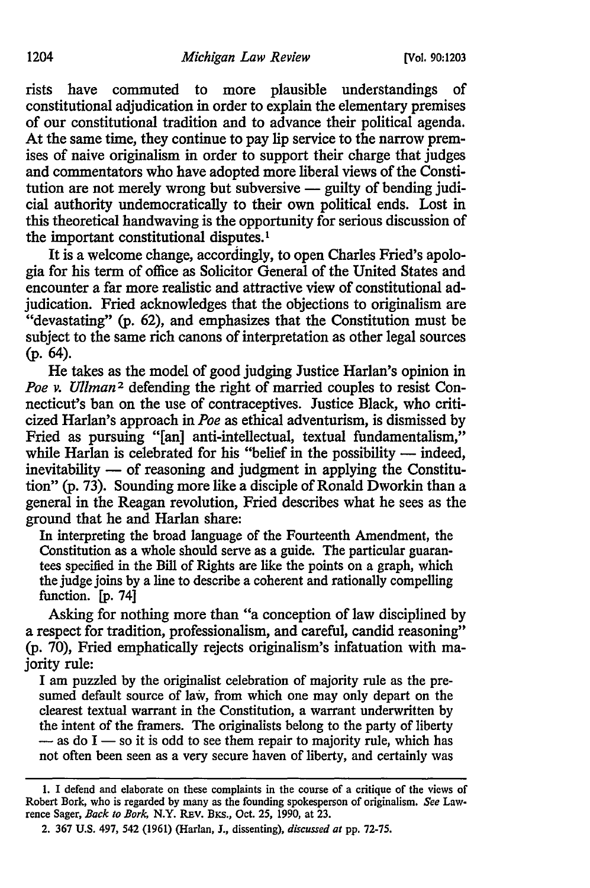rists have commuted to more plausible understandings of constitutional adjudication in order to explain the elementary premises of our constitutional tradition and to advance their political agenda. At the same time, they continue to pay lip service to the narrow premises of naive originalism in order to support their charge that judges and commentators who have adopted more liberal views of the Constitution are not merely wrong but subversive  $-$  guilty of bending judicial authority undemocratically to their own political ends. Lost in this theoretical handwaving is the opportunity for serious discussion of the important constitutional disputes. <sup>1</sup>

It is a welcome change, accordingly, to open Charles Fried's apologia for his term of office as Solicitor General of the United States and encounter a far more realistic and attractive view of constitutional adjudication. Fried acknowledges that the objections to originalism are "devastating" (p. 62), and emphasizes that the Constitution must be subject to the same rich canons of interpretation as other legal sources (p. 64).

He takes as the model of good judging Justice Harlan's opinion in *Poe v. Ullman<sup>2</sup>* defending the right of married couples to resist Connecticut's ban on the use of contraceptives. Justice Black, who criticized Harlan's approach in *Poe* as ethical adventurism, is dismissed by Fried as pursuing "[an] anti-intellectual, textual fundamentalism," while Harlan is celebrated for his "belief in the possibility  $-$  indeed,  $in$ evitability  $-$  of reasoning and judgment in applying the Constitution" (p. 73). Sounding more like a disciple of Ronald Dworkin than a general in the Reagan revolution, Fried describes what he sees as the ground that he and Harlan share:

In interpreting the broad language of the Fourteenth Amendment, the Constitution as a whole should serve as a guide. The particular guarantees specified in the Bill of Rights are like the points on a graph, which the judge joins by a line to describe a coherent and rationally compelling function. [p. 74]

Asking for nothing more than "a conception of law disciplined by a respect for tradition, professionalism, and careful, candid reasoning" (p. 70), Fried emphatically rejects originalism's infatuation with majority rule:

I am puzzled by the originalist celebration of majority rule as the presumed default source of law, from which one may only depart on the clearest textual warrant in the Constitution, a warrant underwritten by the intent of the framers. The originalists belong to the party of liberty  $-$  as do I  $-$  so it is odd to see them repair to majority rule, which has not often been seen as a very secure haven of liberty, and certainly was

<sup>1.</sup> I defend and elaborate on these complaints in the course of a critique of the views of Robert Bork, who is regarded by many as the founding spokesperson of originalism. *See* Lawrence Sager, *Back to Bork,* N.Y. REV. BKS., Oct. 25, 1990, at 23.

<sup>2. 367</sup> U.S. 497, 542 (1961) (Harlan, J., dissenting), *discussed at* pp. 72-75.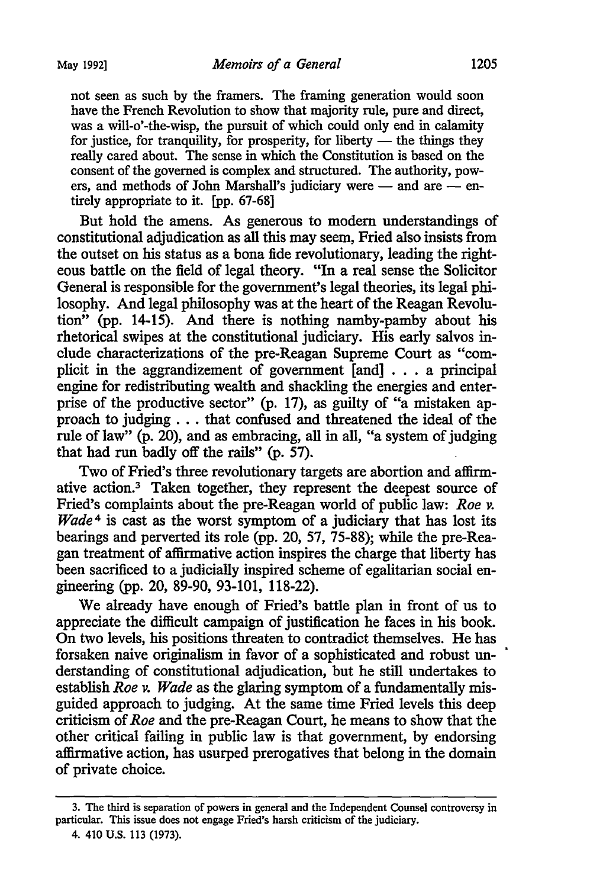not seen as such by the framers. The framing generation would soon have the French Revolution to show that majority rule, pure and direct, was a will-o'-the-wisp, the pursuit of which could only end in calamity for justice, for tranquility, for prosperity, for liberty  $-$  the things they really cared about. The sense in which the Constitution is based on the consent of the governed is complex and structured. The authority, powers, and methods of John Marshall's judiciary were  $-$  and are  $-$  entirely appropriate to it. [pp. 67-68]

But hold the amens. As generous to modem understandings of constitutional adjudication as all this may seem, Fried also insists from the outset on his status as a bona fide revolutionary, leading the righteous battle on the field of legal theory. "In a real sense the Solicitor General is responsible for the government's legal theories, its legal philosophy. And legal philosophy was at the heart of the Reagan Revolution" (pp. 14-15). And there is nothing namby-pamby about his rhetorical swipes at the constitutional judiciary. His early salvos include characterizations of the pre-Reagan Supreme Court as "complicit in the aggrandizement of government [and] ... a principal engine for redistributing wealth and shackling the energies and enterprise of the productive sector" (p. 17), as guilty of "a mistaken approach to judging . . . that confused and threatened the ideal of the rule of law" (p. 20), and as embracing, all in all, "a system of judging that had run badly off the rails" (p. 57).

Two of Fried's three revolutionary targets are abortion and affirmative action.<sup>3</sup> Taken together, they represent the deepest source of Fried's complaints about the pre-Reagan world of public law: *Roe v. Wade* 4 is cast as the worst symptom of a judiciary that has lost its bearings and perverted its role (pp. 20, 57, 75-88); while the pre-Reagan treatment of affirmative action inspires the charge that liberty has been sacrificed to a judicially inspired scheme of egalitarian social engineering (pp. 20, 89-90, 93-101, 118-22).

We already have enough of Fried's battle plan in front of us to appreciate the difficult campaign of justification he faces in his book. On two levels, his positions threaten to contradict themselves. He has forsaken naive originalism in favor of a sophisticated and robust understanding of constitutional adjudication, but he still undertakes to establish *Roe v. Wade* as the glaring symptom of a fundamentally misguided approach to judging. At the same time Fried levels this deep criticism of *Roe* and the pre-Reagan Court, he means to show that the other critical failing in public law is that government, by endorsing affirmative action, has usurped prerogatives that belong in the domain of private choice.

<sup>3.</sup> The third is separation of powers in general and the Independent Counsel controversy in particular. This issue does not engage Fried's harsh criticism of the judiciary.

<sup>4. 410</sup> U.S. 113 (1973).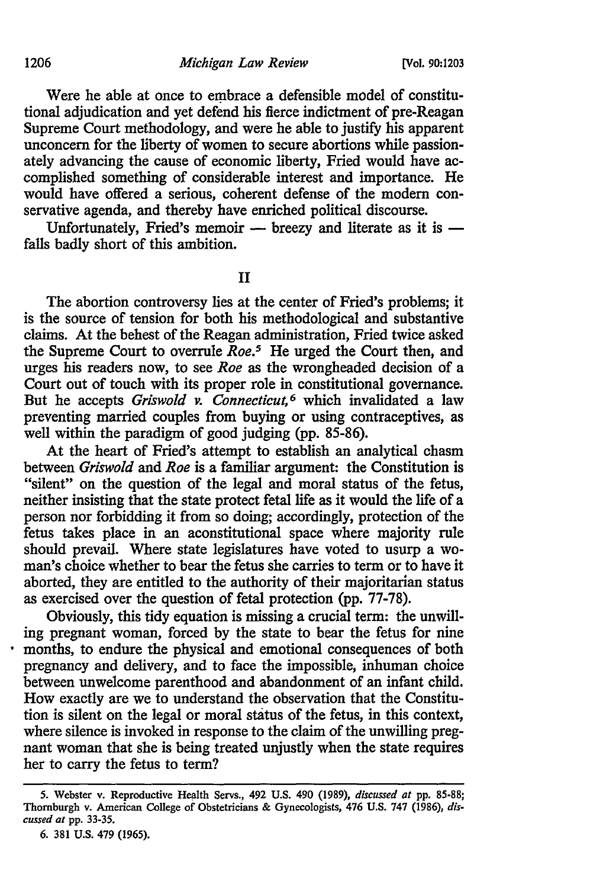Were he able at once to embrace a defensible model of constitutional adjudication and yet defend his fierce indictment of pre-Reagan Supreme Court methodology, and were he able to justify his apparent unconcern for the liberty of women to secure abortions while passionately advancing the cause of economic liberty, Fried would have accomplished something of considerable interest and importance. He would have offered a serious, coherent defense of the modern conservative agenda, and thereby have enriched political discourse.

Unfortunately, Fried's memoir  $-$  breezy and literate as it is  $$ falls badly short of this ambition.

II

The abortion controversy lies at the center of Fried's problems; it is the source of tension for both his methodological and substantive claims. At the behest of the Reagan administration, Fried twice asked the Supreme Court to overrule *Roe.5* He urged the Court then, and urges his readers now, to see *Roe* as the wrongheaded decision of a Court out of touch with its proper role in constitutional governance. But he accepts *Griswold v. Connecticut*,<sup>6</sup> which invalidated a law preventing married couples from buying or using contraceptives, as well within the paradigm of good judging (pp. 85-86).

At the heart of Fried's attempt to establish an analytical chasm between *Griswold* and *Roe* is a familiar argument: the Constitution is "silent" on the question of the legal and moral status of the fetus, neither insisting that the state protect fetal life as it would the life of a person nor forbidding it from so doing; accordingly, protection of the fetus takes place in an aconstitutional space where majority rule should prevail. Where state legislatures have voted to usurp a woman's choice whether to bear the fetus she carries to term or to have it aborted, they are entitled to the authority of their majoritarian status as exercised over the question of fetal protection (pp. 77-78).

Obviously, this tidy equation is missing a crucial term: the unwilling pregnant woman, forced by the state to bear the fetus for nine months, to endure the physical and emotional consequences of both pregnancy and delivery, and to face the impossible, inhuman choice between unwelcome parenthood and abandonment of an infant child. How exactly are we to understand the observation that the Constitution is silent on the legal or moral status of the fetus, in this context, where silence is invoked in response to the claim of the unwilling pregnant woman that she is being treated unjustly when the state requires her to carry the fetus to term?

<sup>5.</sup> Webster v. Reproductive Health Servs., 492 U.S. 490 (1989), *discussed at* pp. 85-88; Thornburgh v. American College of Obstetricians & Gynecologists, 476 U.S. 747 (1986), *dis· cussed at* pp. 33-35.

<sup>6. 381</sup> U.S. 479 (1965).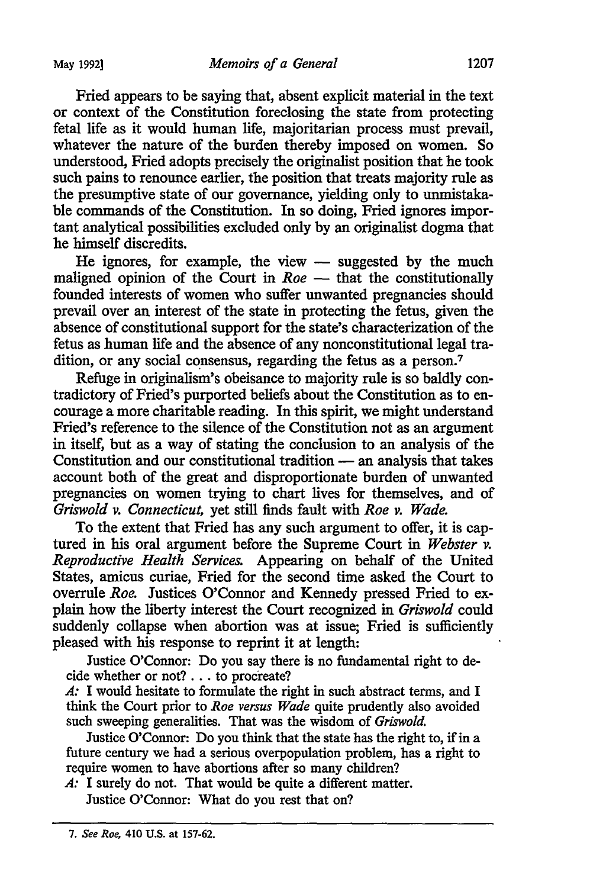May 1992] *Memoirs of a General* 1207

Fried appears to be saying that, absent explicit material in the text or context of the Constitution foreclosing the state from protecting fetal life as it would human life, majoritarian process must prevail, whatever the nature of the burden thereby imposed on women. So understood, Fried adopts precisely the originalist position that he took such pains to renounce earlier, the position that treats majority rule as the presumptive state of our governance, yielding only to unmistakable commands of the Constitution. In so doing, Fried ignores important analytical possibilities excluded only by an originalist dogma that he himself discredits.

He ignores, for example, the view  $-$  suggested by the much maligned opinion of the Court in *Roe* - that the constitutionally founded interests of women who suffer unwanted pregnancies should prevail over an interest of the state in protecting the fetus, given the absence of constitutional support for the state's characterization of the fetus as human life and the absence of any nonconstitutional legal tradition, or any social consensus, regarding the fetus as a person.<sup>7</sup>

Refuge in originalism's obeisance to majority rule is so baldly contradictory of Fried's purported beliefs about the Constitution as to encourage a more charitable reading. In this spirit, we might understand Fried's reference to the silence of the Constitution not as an argument in itself, but as a way of stating the conclusion to an analysis of the Constitution and our constitutional tradition - an analysis that takes account both of the great and disproportionate burden of unwanted pregnancies on women trying to chart lives for themselves, and of *Griswold v. Connecticut,* yet still finds fault with *Roe v. Wade.* 

To the extent that Fried has any such argument to offer, it is captured in his oral argument before the Supreme Court in *Webster v. Reproductive Health Services.* Appearing on behalf of the United States, amicus curiae, Fried for the second time asked the Court to overrule *Roe.* Justices O'Connor and Kennedy pressed Fried to explain how the liberty interest the Court recognized in *Griswold* could suddenly collapse when abortion was at issue; Fried is sufficiently pleased with his response to reprint it at length:

Justice O'Connor: Do you say there is no fundamental right to decide whether or not? ... to procreate?

*A:* I would hesitate to formulate the right in such abstract terms, and I think the Court prior to *Roe versus Wade* quite prudently also avoided such sweeping generalities. That was the wisdom of *Griswold.* 

Justice O'Connor: Do you think that the state has the right to, if in a future century we had a serious overpopulation problem, has a right to require women to have abortions after so many children?

*A:* I surely do not. That would be quite a different matter. Justice O'Connor: What do you rest that on?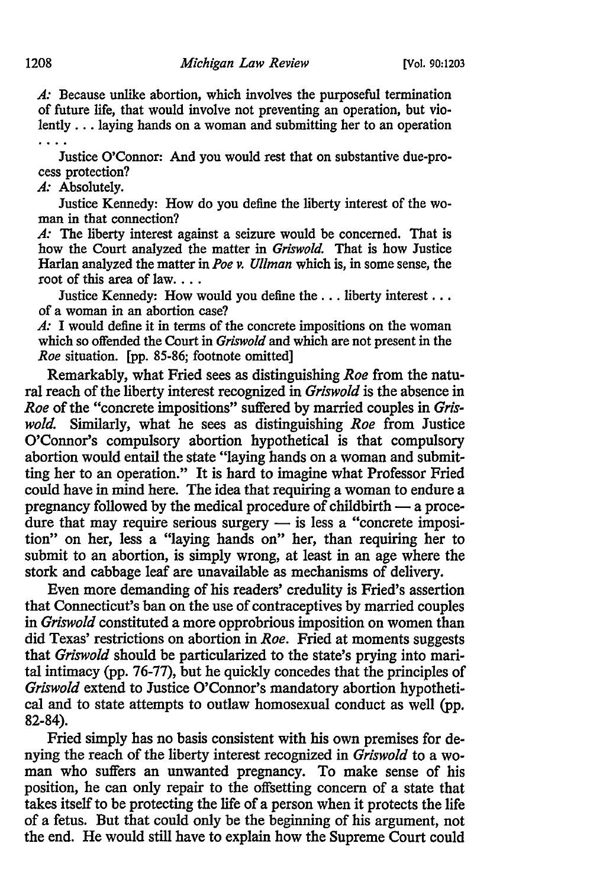*A:* Because unlike abortion, which involves the purposeful termination of future life, that would involve not preventing an operation, but violently ... laying hands on a woman and submitting her to an operation

Justice O'Connor: And you would rest that on substantive due-process protection?

*A:* Absolutely.

Justice Kennedy: How do you define the liberty interest of the woman in that connection?

*A:* The liberty interest against a seizure would be concerned. That is how the Court analyzed the matter in *Griswold.* That is how Justice Harlan analyzed the matter in *Poe v. Ullman* which is, in some sense, the root of this area of law. . . .

Justice Kennedy: How would you define the ... liberty interest ... of a woman in an abortion case?

*A:* I would define it in terms of the concrete impositions on the woman which so offended the Court in *Griswold* and which are not present in the *Roe* situation. [pp. 85-86; footnote omitted]

Remarkably, what Fried sees as distinguishing *Roe* from the natural reach of the liberty interest recognized in *Griswold* is the absence in *Roe* of the "concrete impositions" suffered by married couples in *Griswold.* Similarly, what he sees as distinguishing *Roe* from Justice O'Connor's compulsory abortion hypothetical is that compulsory abortion would entail the state "laying hands on a woman and submitting her to an operation." It is hard to imagine what Professor Fried could have in mind here. The idea that requiring a woman to endure a pregnancy followed by the medical procedure of childbirth  $-$  a procedure that may require serious surgery  $-$  is less a "concrete imposition" on her, less a "laying hands on" her, than requiring her to submit to an abortion, is simply wrong, at least in an age where the stork and cabbage leaf are unavailable as mechanisms of delivery.

Even more demanding of his readers' credulity is Fried's assertion that Connecticut's ban on the use of contraceptives by married couples in *Griswold* constituted a more opprobrious imposition on women than did Texas' restrictions on abortion in *Roe.* Fried at moments suggests that *Griswold* should be particularized to the state's prying into marital intimacy (pp. 76-77), but he quickly concedes that the principles of *Griswold* extend to Justice O'Connor's mandatory abortion hypothetical and to state attempts to outlaw homosexual conduct as well (pp. 82-84).

Fried simply has no basis consistent with his own premises for denying the reach of the liberty interest recognized in *Griswold* to a woman who suffers an unwanted pregnancy. To make sense of his position, he can only repair to the offsetting concern of a state that takes itself to be protecting the life of a person when it protects the life of a fetus. But that could only be the beginning of his argument, not the end. He would still have to explain how the Supreme Court could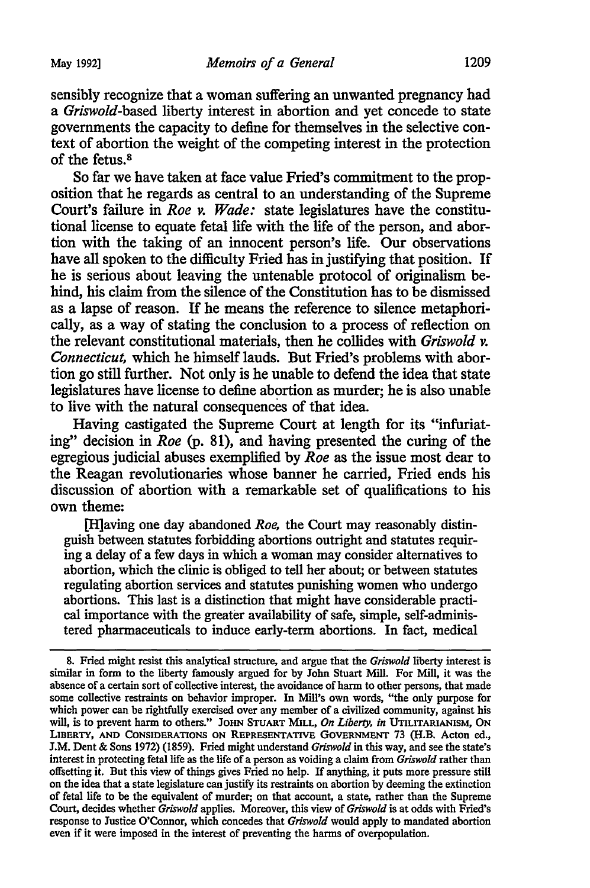sensibly recognize that a woman suffering an unwanted pregnancy had a *Griswold-based* liberty interest in abortion and yet concede to state governments the capacity to define for themselves in the selective context of abortion the weight of the competing interest in the protection of the fetus. s

So far we have taken at face value Fried's commitment to the proposition that he regards as central to an understanding of the Supreme Court's failure in *Roe v. Wade:* state legislatures have the constitutional license to equate fetal life with the life of the person, and abortion with the taking of an innocent person's life. Our observations have all spoken to the difficulty Fried has in justifying that position. If he is serious about leaving the untenable protocol of originalism behind, his claim from the silence of the Constitution has to be dismissed as a lapse of reason. If he means the reference to silence metaphorically, as a way of stating the conclusion to a process of reflection on the relevant constitutional materials, then he collides with *Griswold v. Connecticut,* which he himself lauds. But Fried's problems with abortion go still further. Not only is he unable to defend the idea that state legislatures have license to define abortion as murder; he is also unable to live with the natural consequences of that idea.

Having castigated the Supreme Court at length for its "infuriating" decision in *Roe* (p. 81), and having presented the curing of the egregious judicial abuses exemplified by *Roe* as the issue most dear to the Reagan revolutionaries whose banner he carried, Fried ends his discussion of abortion with a remarkable set of qualifications to his own theme:

[H]aving one day abandoned *Roe,* the Court may reasonably distinguish between statutes forbidding abortions outright and statutes requiring a delay of a few days in which a woman may consider alternatives to abortion, which the clinic is obliged to tell her about; or between statutes regulating abortion services and statutes punishing women who undergo abortions. This last is a distinction that might have considerable practical importance with the greater availability of safe, simple, self-administered pharmaceuticals to induce early-term abortions. In fact, medical

<sup>8.</sup> Fried might resist this analytical structure, and argue that the *Griswold* liberty interest is similar in form to the liberty famously argued for by John Stuart Mill. For Mill, it was the absence of a certain sort of collective interest, the avoidance of harm to other persons, that made some collective restraints on behavior improper. In Mill's own words, "the only purpose for which power can be rightfully exercised over any member of a civilized community, against his will, is to prevent harm to others." JOHN STUART MILL, *On Liberty, in* UTILITARIANISM, ON LIBERTY, AND CONSIDERATIONS ON REPRESENTATIVE GOVERNMENT 73 (H.B. Acton ed., J.M. Dent & Sons 1972) (1859). Fried might understand *Griswold* in this way, and see the state's interest in protecting fetal life as the life of a person as voiding a claim from *Griswold* rather than offsetting it. But this view of things gives Fried no help. If anything, it puts more pressure still on the idea that a state legislature can justify its restraints on abortion by deeming the extinction of fetal life to be the equivalent of murder; on that account, a state, rather than the Supreme Court, decides whether *Griswold* applies. Moreover, this view of *Griswold* is at odds with Fried's response to Justice O'Connor, which concedes that *Griswold* would apply to mandated abortion even if it were imposed in the interest of preventing the harms of overpopulation.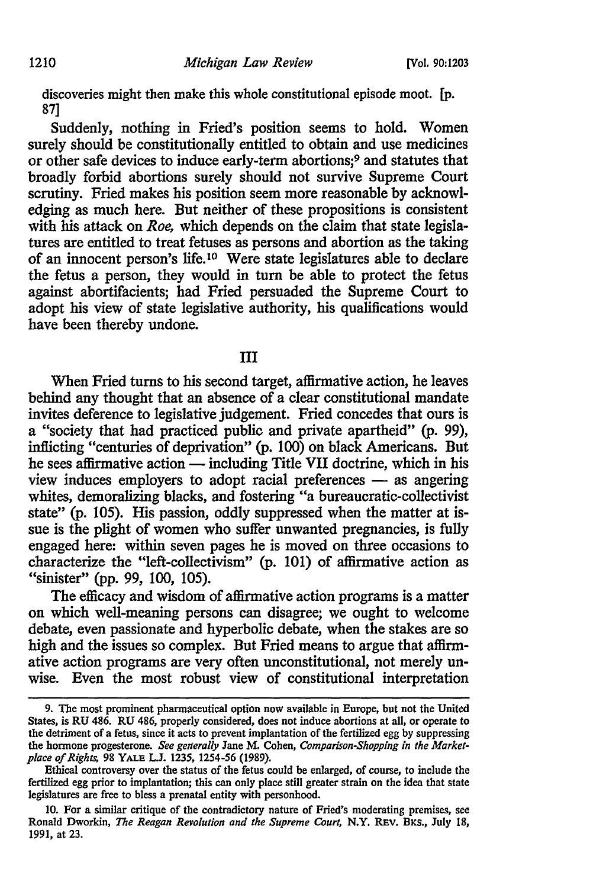discoveries might then make this whole constitutional episode moot. [p. 87]

Suddenly, nothing in Fried's position seems to hold. Women surely should be constitutionally entitled to obtain and use medicines or other safe devices to induce early-term abortions;9 and statutes that broadly forbid abortions surely should not survive Supreme Court scrutiny. Fried makes his position seem more reasonable by acknowledging as much here. But neither of these propositions is consistent with his attack on *Roe,* which depends on the claim that state legislatures are entitled to treat fetuses as persons and abortion as the taking of an innocent person's life. 10 Were state legislatures able to declare the fetus a person, they would in turn be able to protect the fetus against abortifacients; had Fried persuaded the Supreme Court to adopt his view of state legislative authority, his qualifications would have been thereby undone.

Ill

When Fried turns to his second target, affirmative action, he leaves behind any thought that an absence of a clear constitutional mandate invites deference to legislative judgement. Fried concedes that ours is a "society that had practiced public and private apartheid" (p. 99), inflicting "centuries of deprivation" (p. 100) on black Americans. But he sees affirmative action  $-$  including Title VII doctrine, which in his view induces employers to adopt racial preferences - as angering whites, demoralizing blacks, and fostering "a bureaucratic-collectivist state" (p. 105). His passion, oddly suppressed when the matter at issue is the plight of women who suffer unwanted pregnancies, is fully engaged here: within seven pages he is moved on three occasions to characterize the "left-collectivism" (p. 101) of affirmative action as "sinister" (pp. 99, 100, 105).

The efficacy and wisdom of affirmative action programs is a matter on which well-meaning persons can disagree; we ought to welcome debate, even passionate and hyperbolic debate, when the stakes are so high and the issues so complex. But Fried means to argue that affirmative action programs are very often unconstitutional, not merely unwise. Even the most robust view of constitutional interpretation

<sup>9.</sup> The most prominent pharmaceutical option now available in Europe, but not the United States, is RU 486. RU 486, properly considered, does not induce abortions at all, or operate to the detriment of a fetus, since it acts to prevent implantation of the fertilized egg by suppressing the hormone progesterone. *See generally* Jane M. Cohen, *Comparison-Shopping in the Marketplace of Rights,* 98 YALE L.J. 1235, 1254-56 (1989).

Ethical controversy over the status of the fetus could be enlarged, of course, to include the fertilized egg prior to implantation; this can only place still greater strain on the idea that state legislatures are free to bless a prenatal entity with personhood.

<sup>10.</sup> For a similar critique of the contradictory nature of Fried's moderating premises, see Ronald Dworkin, *The Reagan Revolution and the Supreme Court*, N.Y. REV. BKS., July 18, 1991, at 23.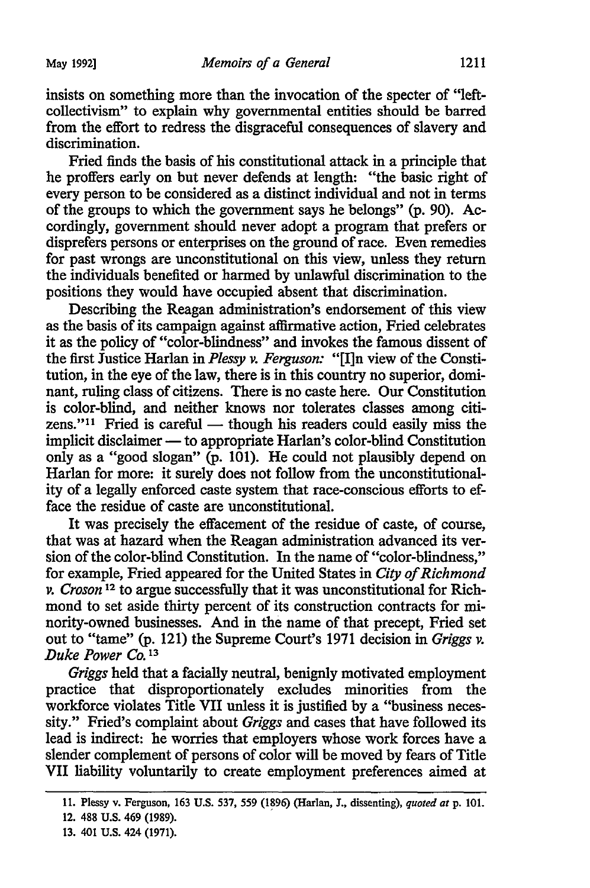insists on something more than the invocation of the specter of "leftcollectivism" to explain why governmental entities should be barred from the effort to redress the disgraceful consequences of slavery and discrimination.

Fried finds the basis of his constitutional attack in a principle that he proffers early on but never defends at length: "the basic right of every person to be considered as a distinct individual and not in terms of the groups to which the government says he belongs" (p. 90). Accordingly, government should never adopt a program that prefers or disprefers persons or enterprises on the ground of race. Even remedies for past wrongs are unconstitutional on this view, unless they return the individuals benefited or harmed by unlawful discrimination to the positions they would have occupied absent that discrimination.

Describing the Reagan administration's endorsement of this view as the basis of its campaign against affirmative action, Fried celebrates it as the policy of "color-blindness" and invokes the famous dissent of the first Justice Harlan in *Plessy v. Ferguson:* "[I]n view of the Constitution, in the eye of the law, there is in this country no superior, dominant, ruling class of citizens. There is no caste here. Our Constitution is color-blind, and neither knows nor tolerates classes among citizens."<sup>11</sup> Fried is careful  $-$  though his readers could easily miss the implicit disclaimer — to appropriate Harlan's color-blind Constitution only as a "good slogan"  $(p. 101)$ . He could not plausibly depend on Harlan for more: it surely does not follow from the unconstitutionality of a legally enforced caste system that race-conscious efforts to efface the residue of caste are unconstitutional.

It was precisely the effacement of the residue of caste, of course, that was at hazard when the Reagan administration advanced its version of the color-blind Constitution. In the name of "color-blindness," for example, Fried appeared for the United States in *City of Richmond v. Croson* 12 to argue successfully that it was unconstitutional for Richmond to set aside thirty percent of its construction contracts for minority-owned businesses. And in the name of that precept, Fried set out to "tame" (p. 121) the Supreme Court's 1971 decision in *Griggs v. Duke Power Co.* <sup>13</sup>

*Griggs* held that a facially neutral, benignly motivated employment practice that disproportionately excludes minorities from the workforce violates Title VII unless it is justified by a "business necessity." Fried's complaint about *Griggs* and cases that have followed its lead is indirect: he worries that employers whose work forces have a slender complement of persons of color will be moved by fears of Title VII liability voluntarily to create employment preferences aimed at

<sup>11.</sup> Plessy v. Ferguson, 163 U.S. 537, 559 (1?96) (Harlan, J., dissenting), *quoted at* p. 101.

<sup>12. 488</sup> U.S. 469 (1989).

<sup>13. 401</sup> U.S. 424 (1971).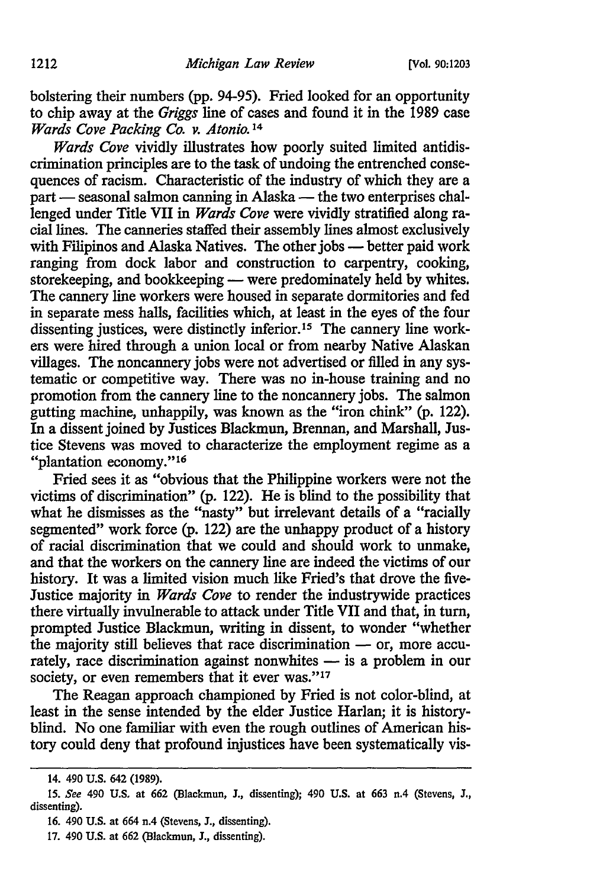bolstering their numbers (pp. 94-95). Fried looked for an opportunity to chip away at the *Griggs* line of cases and found it in the 1989 case *Wards Cove Packing Co. v. Atonio.* <sup>14</sup>

*Wards Cove* vividly illustrates how poorly suited limited antidiscrimination principles are to the task of undoing the entrenched consequences of racism. Characteristic of the industry of which they are a  $part$   $-$  seasonal salmon canning in Alaska  $-$  the two enterprises challenged under Title VII in *Wards Cove* were vividly stratified along racial lines. The canneries staffed their assembly lines almost exclusively with Filipinos and Alaska Natives. The other jobs - better paid work ranging from dock labor and construction to carpentry, cooking, storekeeping, and bookkeeping — were predominately held by whites. The cannery line workers were housed in separate dormitories and fed in separate mess halls, facilities which, at least in the eyes of the four dissenting justices, were distinctly inferior.<sup>15</sup> The cannery line workers were hired through a union local or from nearby Native Alaskan villages. The noncannery jobs were not advertised or filled in any systematic or competitive way. There was no in-house training and no promotion from the cannery line to the noncannery jobs. The salmon gutting machine, unhappily, was known as the "iron chink" (p. 122). In a dissent joined by Justices Blackmun, Brennan, and Marshall, Justice Stevens was moved to characterize the employment regime as a "plantation economy."16

Fried sees it as "obvious that the Philippine workers were not the victims of discrimination" (p. 122). He is blind to the possibility that what he dismisses as the "nasty" but irrelevant details of a "racially segmented" work force (p. 122) are the unhappy product of a history of racial discrimination that we could and should work to unmake, and that the workers on the cannery line are indeed the victims of our history. It was a limited vision much like Fried's that drove the five-Justice majority in *Wards Cove* to render the industrywide practices there virtually invulnerable to attack under Title VII and that, in tum, prompted Justice Blackmun, writing in dissent, to wonder "whether the majority still believes that race discrimination  $-$  or, more accurately, race discrimination against nonwhites  $-$  is a problem in our society, or even remembers that it ever was."<sup>17</sup>

The Reagan approach championed by Fried is not color-blind, at least in the sense intended by the elder Justice Harlan; it is historyblind. No one familiar with even the rough outlines of American history could deny that profound injustices have been systematically vis-

<sup>14. 490</sup> U.S. 642 (1989).

<sup>15.</sup> *See* 490 U.S. at 662 (Blackmun, J., dissenting); 490 U.S. at 663 n.4 (Stevens, J., dissenting).

<sup>16. 490</sup> U.S. at 664 n.4 (Stevens, J., dissenting).

<sup>17. 490</sup> U.S. at 662 (Blackmun, J., dissenting).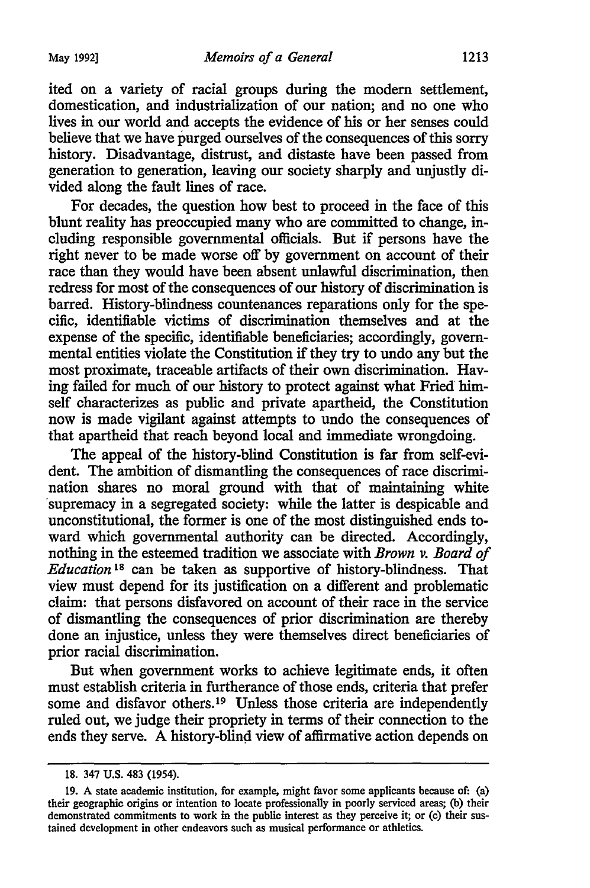ited on a variety of racial groups during the modem settlement, domestication, and industrialization of our nation; and no one who lives in our world and accepts the evidence of his or her senses could believe that we have purged ourselves of the consequences of this sorry history. Disadvantage, distrust, and distaste have been passed from generation to generation, leaving our society sharply and unjustly divided along the fault lines of race.

For decades, the question how best to proceed in the face of this blunt reality has preoccupied many who are committed to change, including responsible governmental officials. But if persons have the right never to be made worse off by government on account of their race than they would have been absent unlawful discrimination, then redress for most of the consequences of our history of discrimination is barred. History-blindness countenances reparations only for the specific, identifiable victims of discrimination themselves and at the expense of the specific, identifiable beneficiaries; accordingly, governmental entities violate the Constitution if they try to undo any but the most proximate, traceable artifacts of their own discrimination. Having failed for much of our history to protect against what Fried himself characterizes as public and private apartheid, the Constitution now is made vigilant against attempts to undo the consequences of that apartheid that reach beyond local and immediate wrongdoing.

The appeal of the history-blind Constitution is far from self-evident. The ambition of dismantling the consequences of race discrimination shares no moral ground with that of maintaining white supremacy in a segregated society: while the latter is despicable and unconstitutional, the former is one of the most distinguished ends toward which governmental authority can be directed. Accordingly, nothing in the esteemed tradition we associate with *Brown v. Board of Education* 18 can be taken as supportive of history-blindness. That view must depend for its justification on a different and problematic claim: that persons disfavored on account of their race in the service of dismantling the consequences of prior discrimination are thereby done an injustice, unless they were themselves direct beneficiaries of prior racial discrimination.

But when government works to achieve legitimate ends, it often must establish criteria in furtherance of those ends, criteria that prefer some and disfavor others.<sup>19</sup> Unless those criteria are independently ruled out, we judge their propriety in terms of their connection to the ends they serve. A history-blind view of affirmative action depends on

<sup>18. 347</sup> U.S. 483 (1954).

<sup>19.</sup> A state academic institution, for example, might favor some applicants because of: (a) their geographic origins or intention to locate professionally in poorly serviced areas; (b) their demonstrated commitments to work in the public interest as they perceive it; or (c) their sustained development in other endeavors such as musical performance or athletics.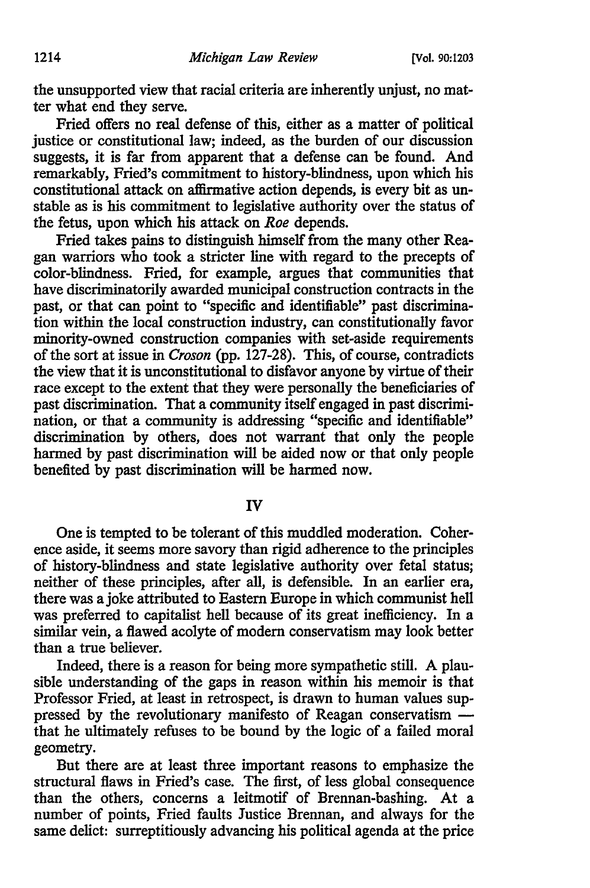the unsupported view that racial criteria are inherently unjust, no matter what end they serve.

Fried offers no real defense of this, either as a matter of political justice or constitutional law; indeed, as the burden of our discussion suggests, it is far from apparent that a defense can be found. And remarkably, Fried's commitment to history-blindness, upon which his constitutional attack on affirmative action depends, is every bit as unstable as is his commitment to legislative authority over the status of the fetus, upon which his attack on *Roe* depends.

Fried takes pains to distinguish himself from the many other Reagan warriors who took a stricter line with regard to the precepts of color-blindness. Fried, for example, argues that communities that have discriminatorily awarded municipal construction contracts in the past, or that can point to "specific and identifiable" past discrimination within the local construction industry, can constitutionally favor minority-owned construction companies with set-aside requirements of the sort at issue in *Croson* (pp. 127-28). This, of course, contradicts the view that it is unconstitutional to disfavor anyone by virtue of their race except to the extent that they were personally the beneficiaries of past discrimination. That a community itself engaged in past discrimination, or that a community is addressing "specific and identifiable" discrimination by others, does not warrant that only the people harmed by past discrimination will be aided now or that only people benefited by past discrimination will be harmed now.

IV

One is tempted to be tolerant of this muddled moderation. Coherence aside, it seems more savory than rigid adherence to the principles of history-blindness and state legislative authority over fetal status; neither of these principles, after all, is defensible. In an earlier era, there was a joke attributed to Eastern Europe in which communist hell was preferred to capitalist hell because of its great inefficiency. In a similar vein, a flawed acolyte of modem conservatism may look better than a true believer.

Indeed, there is a reason for being more sympathetic still. A plausible understanding of the gaps in reason within his memoir is that Professor Fried, at least in retrospect, is drawn to human values suppressed by the revolutionary manifesto of Reagan conservatism  $\sim$ that he ultimately refuses to be bound by the logic of a failed moral geometry.

But there are at least three important reasons to emphasize the structural flaws in Fried's case. The first, of less global consequence than the others, concerns a leitmotif of Brennan-bashing. At a number of points, Fried faults Justice Brennan, and always for the same delict: surreptitiously advancing his political agenda at the price